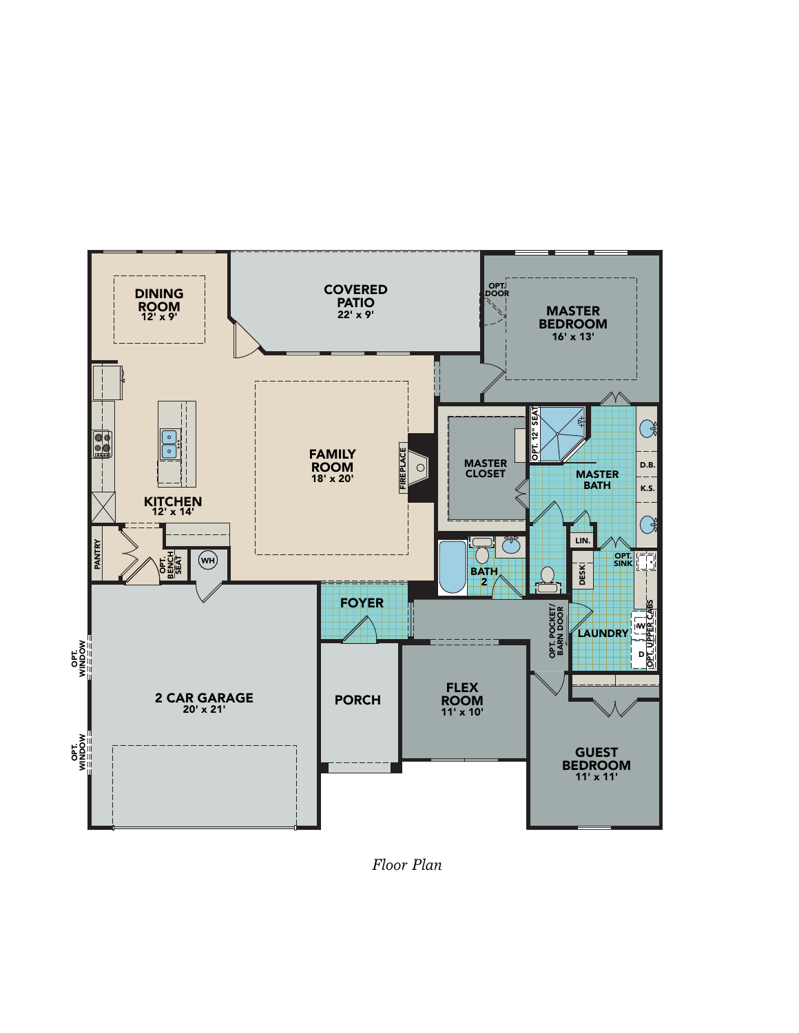

*Floor Plan*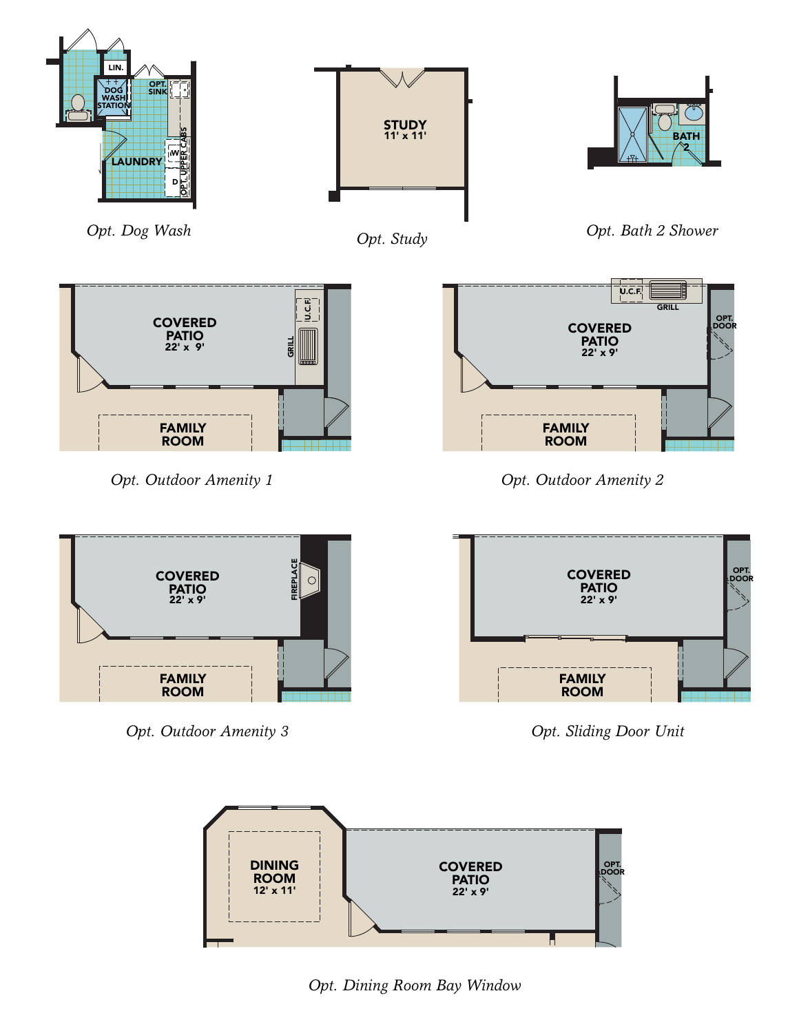



*Opt. Dining Room Bay Window*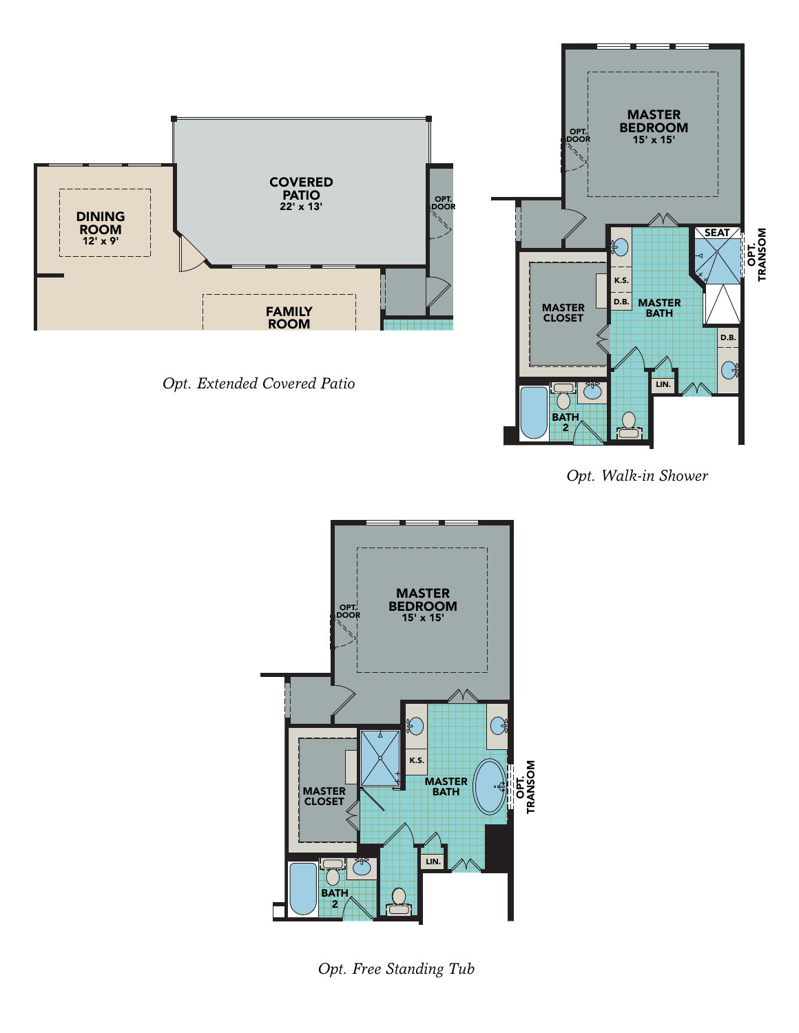

*Opt. Extended Covered Patio*



*Opt. Walk-in Shower*



*Opt. Free Standing Tub*